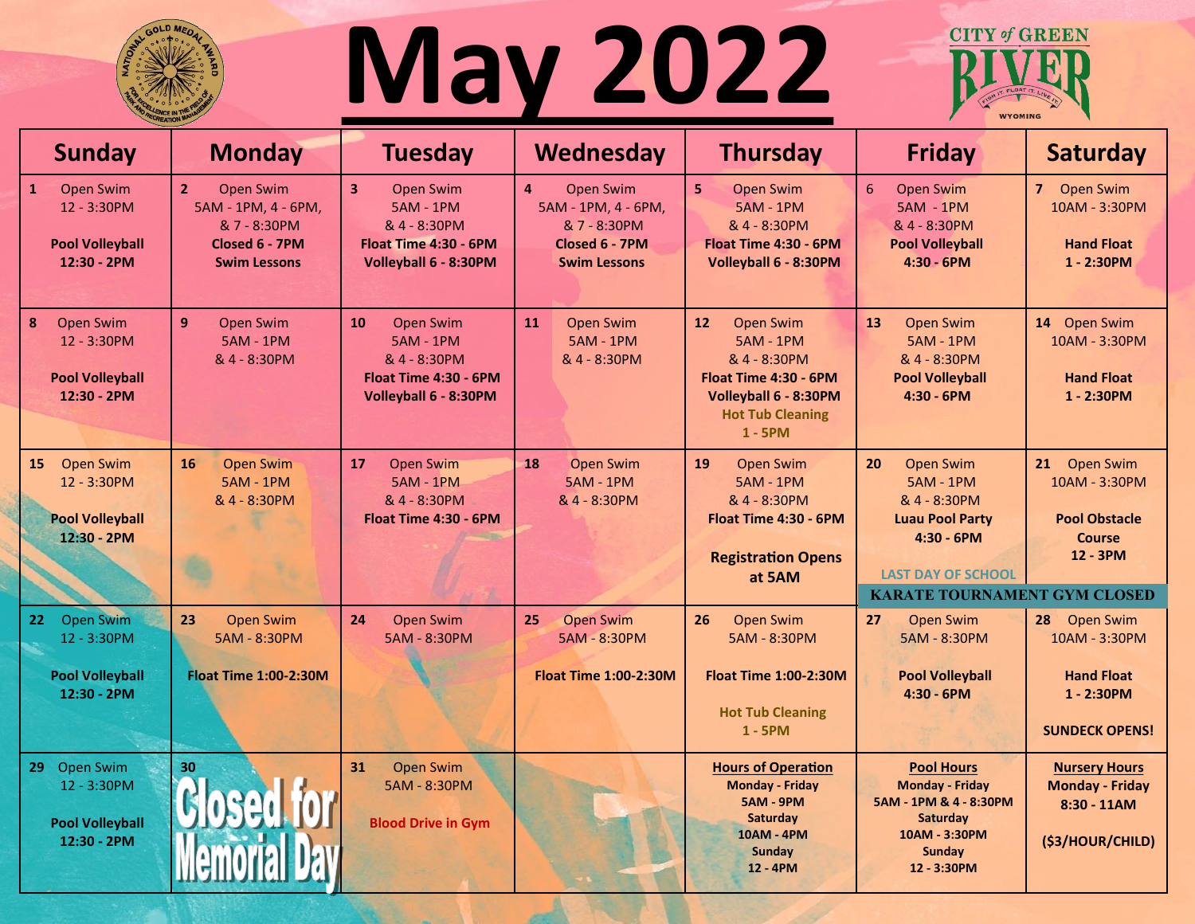

## **May 2022**



| <b>Sunday</b>                                                                            | <b>Monday</b>                                                                                                      | <b>Tuesday</b>                                                                                                                    | Wednesday                                                                                                                   | <b>Thursday</b>                                                                                                                                            | <b>Friday</b>                                                                                                                                                      | <b>Saturday</b>                                                                                |
|------------------------------------------------------------------------------------------|--------------------------------------------------------------------------------------------------------------------|-----------------------------------------------------------------------------------------------------------------------------------|-----------------------------------------------------------------------------------------------------------------------------|------------------------------------------------------------------------------------------------------------------------------------------------------------|--------------------------------------------------------------------------------------------------------------------------------------------------------------------|------------------------------------------------------------------------------------------------|
| $\mathbf{1}$<br><b>Open Swim</b><br>12 - 3:30PM<br><b>Pool Volleyball</b><br>12:30 - 2PM | 2 <sup>1</sup><br><b>Open Swim</b><br>5AM - 1PM, 4 - 6PM,<br>& 7 - 8:30PM<br>Closed 6 - 7PM<br><b>Swim Lessons</b> | $\overline{\mathbf{3}}$<br><b>Open Swim</b><br><b>5AM - 1PM</b><br>& 4 - 8:30PM<br>Float Time 4:30 - 6PM<br>Volleyball 6 - 8:30PM | $\overline{\mathbf{4}}$<br><b>Open Swim</b><br>5AM - 1PM, 4 - 6PM,<br>& 7 - 8:30PM<br>Closed 6 - 7PM<br><b>Swim Lessons</b> | 5 <sup>1</sup><br>Open Swim<br><b>5AM - 1PM</b><br>& 4 - 8:30PM<br>Float Time 4:30 - 6PM<br>Volleyball 6 - 8:30PM                                          | 6<br>Open Swim<br><b>5AM - 1PM</b><br>& 4 - 8:30PM<br><b>Pool Volleyball</b><br>$4:30 - 6$ PM                                                                      | 7 Open Swim<br>10AM - 3:30PM<br><b>Hand Float</b><br>$1 - 2:30PM$                              |
| 8<br><b>Open Swim</b><br>12 - 3:30PM<br><b>Pool Volleyball</b><br>12:30 - 2PM            | 9 <sup>°</sup><br>Open Swim<br><b>5AM - 1PM</b><br>& 4 - 8:30PM                                                    | 10<br><b>Open Swim</b><br><b>5AM - 1PM</b><br>& 4 - 8:30PM<br>Float Time 4:30 - 6PM<br>Volleyball 6 - 8:30PM                      | 11<br><b>Open Swim</b><br><b>5AM - 1PM</b><br>& 4 - 8:30PM                                                                  | Open Swim<br>12 <sup>7</sup><br><b>5AM - 1PM</b><br>& 4 - 8:30PM<br>Float Time 4:30 - 6PM<br>Volleyball 6 - 8:30PM<br><b>Hot Tub Cleaning</b><br>$1 - 5PM$ | 13<br>Open Swim<br><b>5AM - 1PM</b><br>& 4 - 8:30PM<br><b>Pool Volleyball</b><br>$4:30 - 6PM$                                                                      | 14 Open Swim<br>10AM - 3:30PM<br><b>Hand Float</b><br>$1 - 2:30PM$                             |
| 15 Open Swim<br>12 - 3:30PM<br><b>Pool Volleyball</b><br>12:30 - 2PM                     | 16<br><b>Open Swim</b><br><b>5AM - 1PM</b><br>& 4 - 8:30PM                                                         | <b>Open Swim</b><br>17<br><b>5AM - 1PM</b><br>& 4 - 8:30PM<br>Float Time 4:30 - 6PM                                               | <b>Open Swim</b><br>18<br><b>5AM - 1PM</b><br>& 4 - 8:30PM                                                                  | 19<br><b>Open Swim</b><br><b>5AM - 1PM</b><br>& 4 - 8:30PM<br>Float Time 4:30 - 6PM<br><b>Registration Opens</b><br>at 5AM                                 | Open Swim<br>20<br><b>5AM - 1PM</b><br>& 4 - 8:30PM<br><b>Luau Pool Party</b><br>$4:30 - 6$ PM<br><b>LAST DAY OF SCHOOL</b><br><b>KARATE TOURNAMENT GYM CLOSED</b> | 21 Open Swim<br>10AM - 3:30PM<br><b>Pool Obstacle</b><br><b>Course</b><br>12 - 3PM             |
| <b>Open Swim</b><br>22<br>12 - 3:30PM<br><b>Pool Volleyball</b><br>12:30 - 2PM           | 23<br><b>Open Swim</b><br>5AM - 8:30PM<br><b>Float Time 1:00-2:30M</b>                                             | 24<br><b>Open Swim</b><br>5AM - 8:30PM                                                                                            | 25<br><b>Open Swim</b><br>5AM - 8:30PM<br><b>Float Time 1:00-2:30M</b>                                                      | 26<br>Open Swim<br>5AM - 8:30PM<br><b>Float Time 1:00-2:30M</b><br><b>Hot Tub Cleaning</b><br>$1 - 5PM$                                                    | 27<br>Open Swim<br>5AM - 8:30PM<br><b>Pool Volleyball</b><br>$4:30 - 6$ PM                                                                                         | Open Swim<br>28<br>10AM - 3:30PM<br><b>Hand Float</b><br>$1 - 2:30PM$<br><b>SUNDECK OPENS!</b> |
| 29 Open Swim<br>12 - 3:30PM<br><b>Pool Volleyball</b><br>12:30 - 2PM                     | 30<br><b>Sosed for</b>                                                                                             | 31<br><b>Open Swim</b><br>5AM - 8:30PM<br><b>Blood Drive in Gym</b>                                                               |                                                                                                                             | <b>Hours of Operation</b><br><b>Monday - Friday</b><br><b>5AM - 9PM</b><br><b>Saturday</b><br><b>10AM - 4PM</b><br>Sunday<br>12 - 4PM                      | <b>Pool Hours</b><br><b>Monday - Friday</b><br>5AM - 1PM & 4 - 8:30PM<br>Saturday<br>10AM - 3:30PM<br><b>Sunday</b><br>12 - 3:30PM                                 | <b>Nursery Hours</b><br><b>Monday - Friday</b><br>$8:30 - 11AM$<br>(\$3/HOUR/CHILD)            |